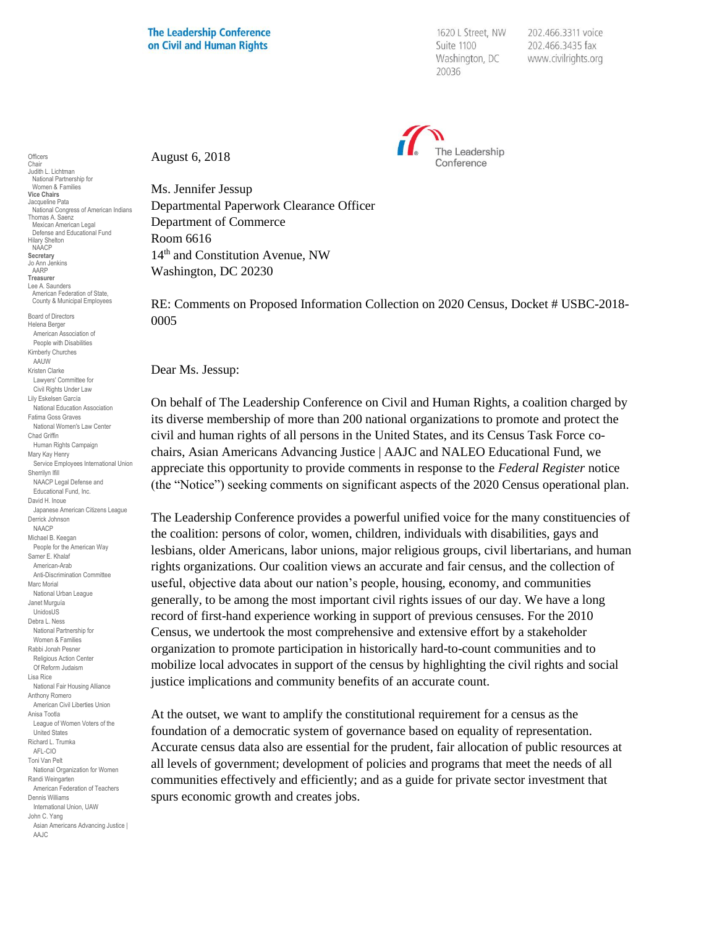1620 L Street, NW Suite 1100 Washington, DC 20036

202.466.3311 voice 202.466.3435 fax www.civilrights.org



August 6, 2018

Ms. Jennifer Jessup Departmental Paperwork Clearance Officer Department of Commerce Room 6616 14th and Constitution Avenue, NW Washington, DC 20230

RE: Comments on Proposed Information Collection on 2020 Census, Docket # USBC-2018- 0005

Dear Ms. Jessup:

On behalf of The Leadership Conference on Civil and Human Rights, a coalition charged by its diverse membership of more than 200 national organizations to promote and protect the civil and human rights of all persons in the United States, and its Census Task Force cochairs, Asian Americans Advancing Justice | AAJC and NALEO Educational Fund, we appreciate this opportunity to provide comments in response to the *Federal Register* notice (the "Notice") seeking comments on significant aspects of the 2020 Census operational plan.

The Leadership Conference provides a powerful unified voice for the many constituencies of the coalition: persons of color, women, children, individuals with disabilities, gays and lesbians, older Americans, labor unions, major religious groups, civil libertarians, and human rights organizations. Our coalition views an accurate and fair census, and the collection of useful, objective data about our nation's people, housing, economy, and communities generally, to be among the most important civil rights issues of our day. We have a long record of first-hand experience working in support of previous censuses. For the 2010 Census, we undertook the most comprehensive and extensive effort by a stakeholder organization to promote participation in historically hard-to-count communities and to mobilize local advocates in support of the census by highlighting the civil rights and social justice implications and community benefits of an accurate count.

At the outset, we want to amplify the constitutional requirement for a census as the foundation of a democratic system of governance based on equality of representation. Accurate census data also are essential for the prudent, fair allocation of public resources at all levels of government; development of policies and programs that meet the needs of all communities effectively and efficiently; and as a guide for private sector investment that spurs economic growth and creates jobs.

**Officers** Chair Judith L. Lichtman National Partnership for Women & Families **Vice Chairs** Jacqueline Pata National Congress of American Indians Thomas A. Saenz Mexican American Legal Defense and Educational Fund Hilary Shelton NAACP **Secretary** Jo Ann Jenkins AARP **Treasurer** Lee A. Saunders American Federation of State, County & Municipal Employees Board of Directors Helena Berger American Association of People with Disabilities Kimberly Churches AAUW Kristen Clarke Lawyers' Committee for Civil Rights Under Law Lily Eskelsen García National Education Association Fatima Goss Graves National Women's Law Center Chad Griffin Human Rights Campaign Mary Kay Henry Service Employees International Union Sherrilyn Ifill NAACP Legal Defense and Educational Fund, Inc. David H. Inoue Japanese American Citizens League Derrick Johnson NAACP Michael B. Keegan People for the American Way Samer E. Khalaf American-Arab Anti-Discrimination Committee Marc Morial National Urban League Janet Murguía UnidosUS Debra L. Ness National Partnership for Women & Families Rabbi Jonah Pesner Religious Action Center Of Reform Judaism Lisa Rice National Fair Housing Alliance Anthony Romero American Civil Liberties Union Anisa Tootla League of Women Voters of the United States Richard L. Trumka AFL-CIO Toni Van Pelt National Organization for Women Randi Weingarten American Federation of Teachers Dennis Williams International Union, UAW John C. Yang Asian Americans Advancing Justice | AAJC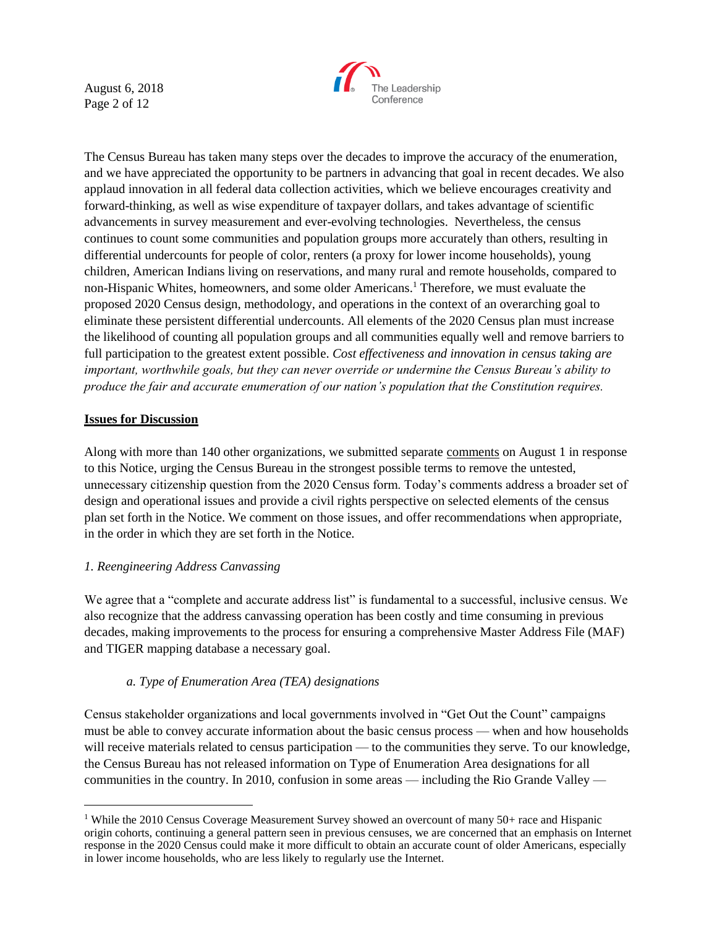August 6, 2018 Page 2 of 12



The Census Bureau has taken many steps over the decades to improve the accuracy of the enumeration, and we have appreciated the opportunity to be partners in advancing that goal in recent decades. We also applaud innovation in all federal data collection activities, which we believe encourages creativity and forward-thinking, as well as wise expenditure of taxpayer dollars, and takes advantage of scientific advancements in survey measurement and ever-evolving technologies. Nevertheless, the census continues to count some communities and population groups more accurately than others, resulting in differential undercounts for people of color, renters (a proxy for lower income households), young children, American Indians living on reservations, and many rural and remote households, compared to non-Hispanic Whites, homeowners, and some older Americans.<sup>1</sup> Therefore, we must evaluate the proposed 2020 Census design, methodology, and operations in the context of an overarching goal to eliminate these persistent differential undercounts. All elements of the 2020 Census plan must increase the likelihood of counting all population groups and all communities equally well and remove barriers to full participation to the greatest extent possible. *Cost effectiveness and innovation in census taking are important, worthwhile goals, but they can never override or undermine the Census Bureau's ability to produce the fair and accurate enumeration of our nation's population that the Constitution requires.*

### **Issues for Discussion**

 $\overline{a}$ 

Along with more than 140 other organizations, we submitted separate [comments](http://civilrightsdocs.info/pdf/policy/letters/2018/LCCHR-FRN%20Comments-CQ-08-01-18%20FINALLETTERHEAD.pdf) on August 1 in response to this Notice, urging the Census Bureau in the strongest possible terms to remove the untested, unnecessary citizenship question from the 2020 Census form. Today's comments address a broader set of design and operational issues and provide a civil rights perspective on selected elements of the census plan set forth in the Notice. We comment on those issues, and offer recommendations when appropriate, in the order in which they are set forth in the Notice.

#### *1. Reengineering Address Canvassing*

We agree that a "complete and accurate address list" is fundamental to a successful, inclusive census. We also recognize that the address canvassing operation has been costly and time consuming in previous decades, making improvements to the process for ensuring a comprehensive Master Address File (MAF) and TIGER mapping database a necessary goal.

#### *a. Type of Enumeration Area (TEA) designations*

Census stakeholder organizations and local governments involved in "Get Out the Count" campaigns must be able to convey accurate information about the basic census process — when and how households will receive materials related to census participation — to the communities they serve. To our knowledge, the Census Bureau has not released information on Type of Enumeration Area designations for all communities in the country. In 2010, confusion in some areas — including the Rio Grande Valley —

<sup>&</sup>lt;sup>1</sup> While the 2010 Census Coverage Measurement Survey showed an overcount of many 50+ race and Hispanic origin cohorts, continuing a general pattern seen in previous censuses, we are concerned that an emphasis on Internet response in the 2020 Census could make it more difficult to obtain an accurate count of older Americans, especially in lower income households, who are less likely to regularly use the Internet.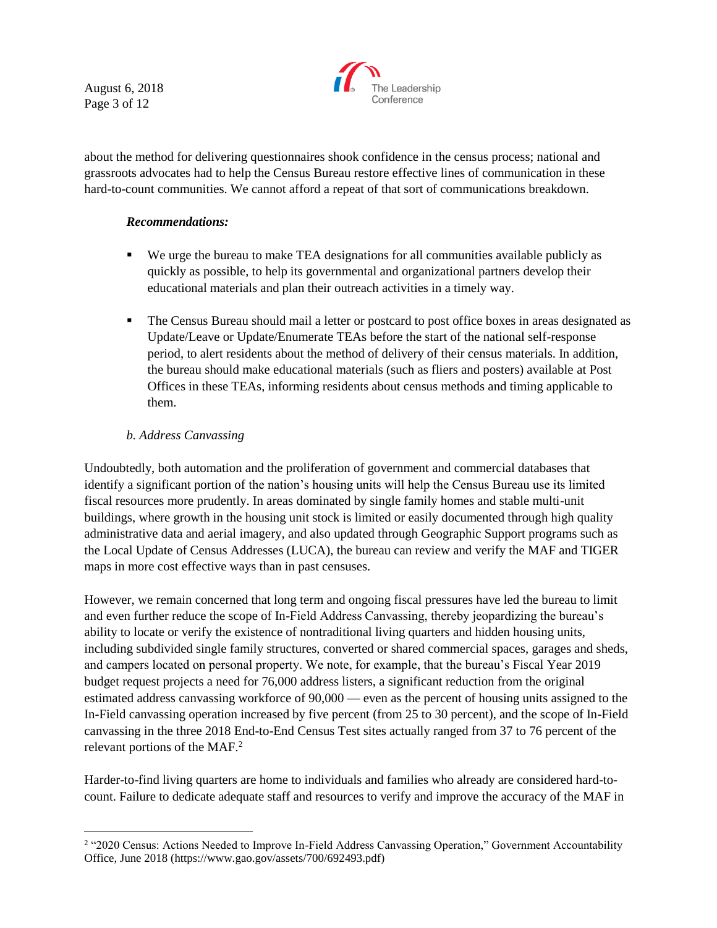August 6, 2018 Page 3 of 12



about the method for delivering questionnaires shook confidence in the census process; national and grassroots advocates had to help the Census Bureau restore effective lines of communication in these hard-to-count communities. We cannot afford a repeat of that sort of communications breakdown.

### *Recommendations:*

- We urge the bureau to make TEA designations for all communities available publicly as quickly as possible, to help its governmental and organizational partners develop their educational materials and plan their outreach activities in a timely way.
- **•** The Census Bureau should mail a letter or postcard to post office boxes in areas designated as Update/Leave or Update/Enumerate TEAs before the start of the national self-response period, to alert residents about the method of delivery of their census materials. In addition, the bureau should make educational materials (such as fliers and posters) available at Post Offices in these TEAs, informing residents about census methods and timing applicable to them.

# *b. Address Canvassing*

Undoubtedly, both automation and the proliferation of government and commercial databases that identify a significant portion of the nation's housing units will help the Census Bureau use its limited fiscal resources more prudently. In areas dominated by single family homes and stable multi-unit buildings, where growth in the housing unit stock is limited or easily documented through high quality administrative data and aerial imagery, and also updated through Geographic Support programs such as the Local Update of Census Addresses (LUCA), the bureau can review and verify the MAF and TIGER maps in more cost effective ways than in past censuses.

However, we remain concerned that long term and ongoing fiscal pressures have led the bureau to limit and even further reduce the scope of In-Field Address Canvassing, thereby jeopardizing the bureau's ability to locate or verify the existence of nontraditional living quarters and hidden housing units, including subdivided single family structures, converted or shared commercial spaces, garages and sheds, and campers located on personal property. We note, for example, that the bureau's Fiscal Year 2019 budget request projects a need for 76,000 address listers, a significant reduction from the original estimated address canvassing workforce of 90,000 — even as the percent of housing units assigned to the In-Field canvassing operation increased by five percent (from 25 to 30 percent), and the scope of In-Field canvassing in the three 2018 End-to-End Census Test sites actually ranged from 37 to 76 percent of the relevant portions of the MAF.<sup>2</sup>

Harder-to-find living quarters are home to individuals and families who already are considered hard-tocount. Failure to dedicate adequate staff and resources to verify and improve the accuracy of the MAF in

<sup>&</sup>lt;sup>2</sup> "2020 Census: Actions Needed to Improve In-Field Address Canvassing Operation," Government Accountability Office, June 2018 (https://www.gao.gov/assets/700/692493.pdf)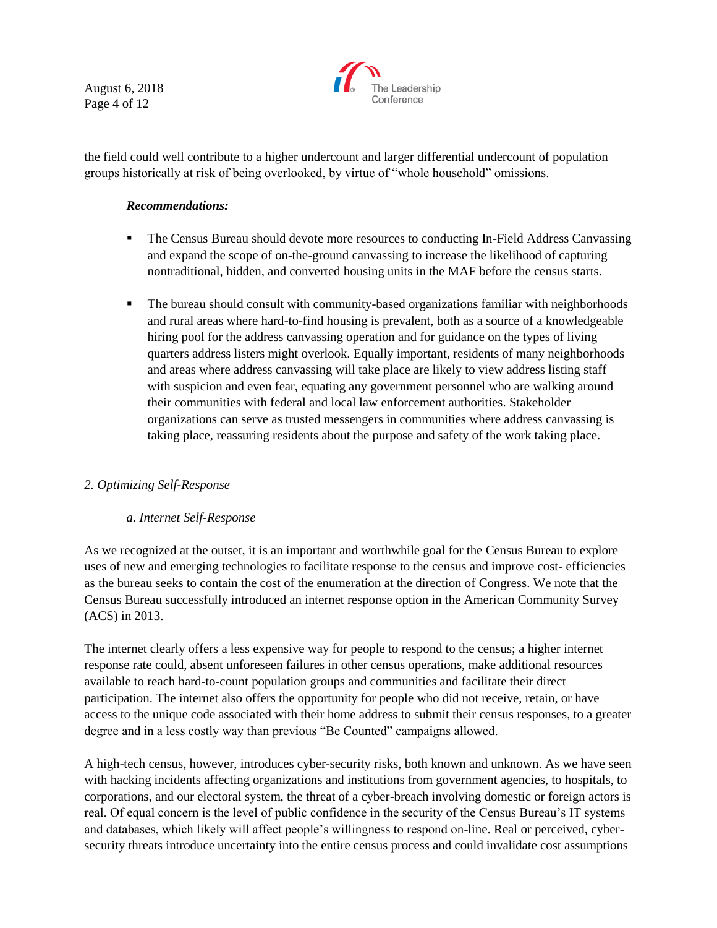August 6, 2018 Page 4 of 12



the field could well contribute to a higher undercount and larger differential undercount of population groups historically at risk of being overlooked, by virtue of "whole household" omissions.

### *Recommendations:*

- The Census Bureau should devote more resources to conducting In-Field Address Canvassing and expand the scope of on-the-ground canvassing to increase the likelihood of capturing nontraditional, hidden, and converted housing units in the MAF before the census starts.
- The bureau should consult with community-based organizations familiar with neighborhoods and rural areas where hard-to-find housing is prevalent, both as a source of a knowledgeable hiring pool for the address canvassing operation and for guidance on the types of living quarters address listers might overlook. Equally important, residents of many neighborhoods and areas where address canvassing will take place are likely to view address listing staff with suspicion and even fear, equating any government personnel who are walking around their communities with federal and local law enforcement authorities. Stakeholder organizations can serve as trusted messengers in communities where address canvassing is taking place, reassuring residents about the purpose and safety of the work taking place.

# *2. Optimizing Self-Response*

#### *a. Internet Self-Response*

As we recognized at the outset, it is an important and worthwhile goal for the Census Bureau to explore uses of new and emerging technologies to facilitate response to the census and improve cost- efficiencies as the bureau seeks to contain the cost of the enumeration at the direction of Congress. We note that the Census Bureau successfully introduced an internet response option in the American Community Survey (ACS) in 2013.

The internet clearly offers a less expensive way for people to respond to the census; a higher internet response rate could, absent unforeseen failures in other census operations, make additional resources available to reach hard-to-count population groups and communities and facilitate their direct participation. The internet also offers the opportunity for people who did not receive, retain, or have access to the unique code associated with their home address to submit their census responses, to a greater degree and in a less costly way than previous "Be Counted" campaigns allowed.

A high-tech census, however, introduces cyber-security risks, both known and unknown. As we have seen with hacking incidents affecting organizations and institutions from government agencies, to hospitals, to corporations, and our electoral system, the threat of a cyber-breach involving domestic or foreign actors is real. Of equal concern is the level of public confidence in the security of the Census Bureau's IT systems and databases, which likely will affect people's willingness to respond on-line. Real or perceived, cybersecurity threats introduce uncertainty into the entire census process and could invalidate cost assumptions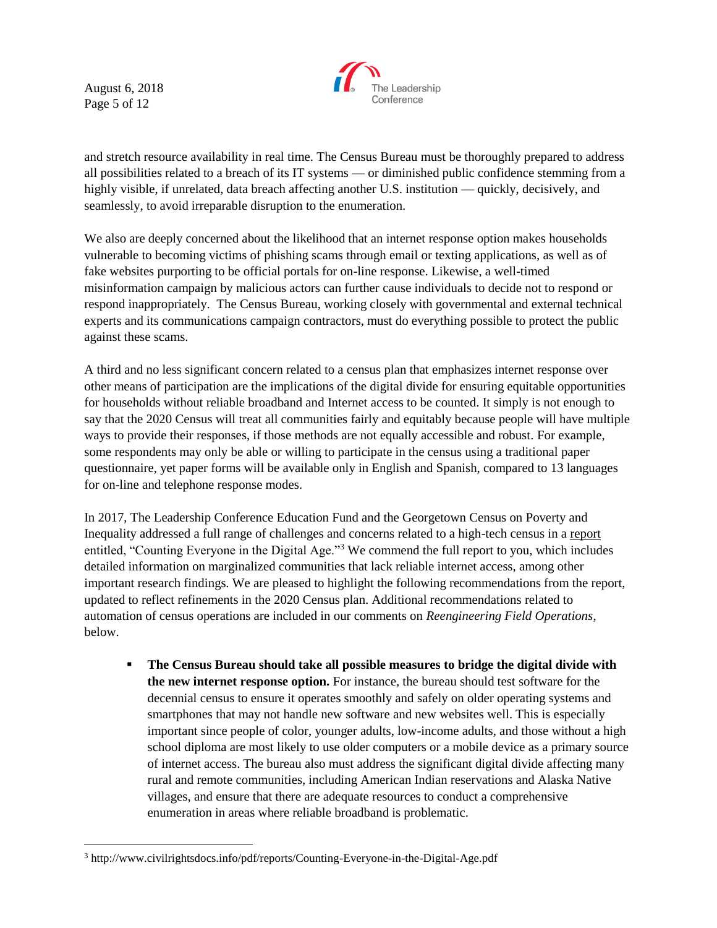August 6, 2018 Page 5 of 12

 $\overline{a}$ 



and stretch resource availability in real time. The Census Bureau must be thoroughly prepared to address all possibilities related to a breach of its IT systems — or diminished public confidence stemming from a highly visible, if unrelated, data breach affecting another U.S. institution — quickly, decisively, and seamlessly, to avoid irreparable disruption to the enumeration.

We also are deeply concerned about the likelihood that an internet response option makes households vulnerable to becoming victims of phishing scams through email or texting applications, as well as of fake websites purporting to be official portals for on-line response. Likewise, a well-timed misinformation campaign by malicious actors can further cause individuals to decide not to respond or respond inappropriately. The Census Bureau, working closely with governmental and external technical experts and its communications campaign contractors, must do everything possible to protect the public against these scams.

A third and no less significant concern related to a census plan that emphasizes internet response over other means of participation are the implications of the digital divide for ensuring equitable opportunities for households without reliable broadband and Internet access to be counted. It simply is not enough to say that the 2020 Census will treat all communities fairly and equitably because people will have multiple ways to provide their responses, if those methods are not equally accessible and robust. For example, some respondents may only be able or willing to participate in the census using a traditional paper questionnaire, yet paper forms will be available only in English and Spanish, compared to 13 languages for on-line and telephone response modes.

In 2017, The Leadership Conference Education Fund and the Georgetown Census on Poverty and Inequality addressed a full range of challenges and concerns related to a high-tech census in a [report](http://www.civilrightsdocs.info/pdf/reports/Counting-Everyone-in-the-Digital-Age.pdf) entitled, "Counting Everyone in the Digital Age."<sup>3</sup> We commend the full report to you, which includes detailed information on marginalized communities that lack reliable internet access, among other important research findings. We are pleased to highlight the following recommendations from the report, updated to reflect refinements in the 2020 Census plan. Additional recommendations related to automation of census operations are included in our comments on *Reengineering Field Operations*, below.

**The Census Bureau should take all possible measures to bridge the digital divide with the new internet response option.** For instance, the bureau should test software for the decennial census to ensure it operates smoothly and safely on older operating systems and smartphones that may not handle new software and new websites well. This is especially important since people of color, younger adults, low-income adults, and those without a high school diploma are most likely to use older computers or a mobile device as a primary source of internet access. The bureau also must address the significant digital divide affecting many rural and remote communities, including American Indian reservations and Alaska Native villages, and ensure that there are adequate resources to conduct a comprehensive enumeration in areas where reliable broadband is problematic.

<sup>3</sup> http://www.civilrightsdocs.info/pdf/reports/Counting-Everyone-in-the-Digital-Age.pdf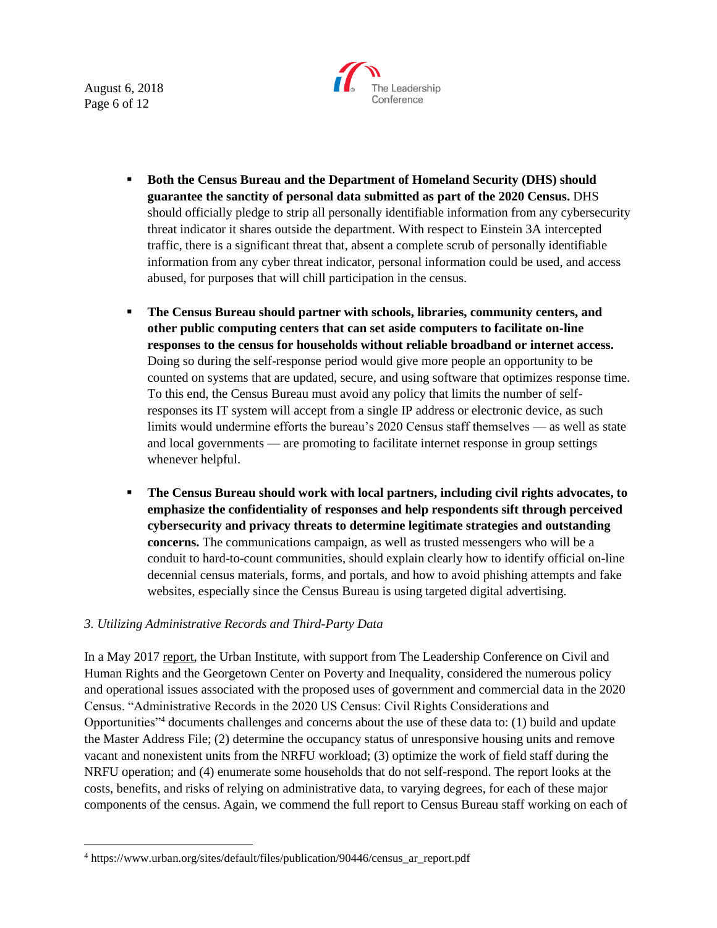August 6, 2018 Page 6 of 12

 $\overline{a}$ 



- **Both the Census Bureau and the Department of Homeland Security (DHS) should guarantee the sanctity of personal data submitted as part of the 2020 Census.** DHS should officially pledge to strip all personally identifiable information from any cybersecurity threat indicator it shares outside the department. With respect to Einstein 3A intercepted traffic, there is a significant threat that, absent a complete scrub of personally identifiable information from any cyber threat indicator, personal information could be used, and access abused, for purposes that will chill participation in the census.
- **The Census Bureau should partner with schools, libraries, community centers, and other public computing centers that can set aside computers to facilitate on-line responses to the census for households without reliable broadband or internet access.**  Doing so during the self-response period would give more people an opportunity to be counted on systems that are updated, secure, and using software that optimizes response time. To this end, the Census Bureau must avoid any policy that limits the number of selfresponses its IT system will accept from a single IP address or electronic device, as such limits would undermine efforts the bureau's 2020 Census staff themselves — as well as state and local governments — are promoting to facilitate internet response in group settings whenever helpful.
- **The Census Bureau should work with local partners, including civil rights advocates, to emphasize the confidentiality of responses and help respondents sift through perceived cybersecurity and privacy threats to determine legitimate strategies and outstanding concerns.** The communications campaign, as well as trusted messengers who will be a conduit to hard-to-count communities, should explain clearly how to identify official on-line decennial census materials, forms, and portals, and how to avoid phishing attempts and fake websites, especially since the Census Bureau is using targeted digital advertising.

#### *3. Utilizing Administrative Records and Third-Party Data*

In a May 2017 [report,](https://www.urban.org/sites/default/files/publication/90446/census_ar_report.pdf) the Urban Institute, with support from The Leadership Conference on Civil and Human Rights and the Georgetown Center on Poverty and Inequality, considered the numerous policy and operational issues associated with the proposed uses of government and commercial data in the 2020 Census. "Administrative Records in the 2020 US Census: Civil Rights Considerations and Opportunities"<sup>4</sup> documents challenges and concerns about the use of these data to: (1) build and update the Master Address File; (2) determine the occupancy status of unresponsive housing units and remove vacant and nonexistent units from the NRFU workload; (3) optimize the work of field staff during the NRFU operation; and (4) enumerate some households that do not self-respond. The report looks at the costs, benefits, and risks of relying on administrative data, to varying degrees, for each of these major components of the census. Again, we commend the full report to Census Bureau staff working on each of

<sup>&</sup>lt;sup>4</sup> https://www.urban.org/sites/default/files/publication/90446/census ar report.pdf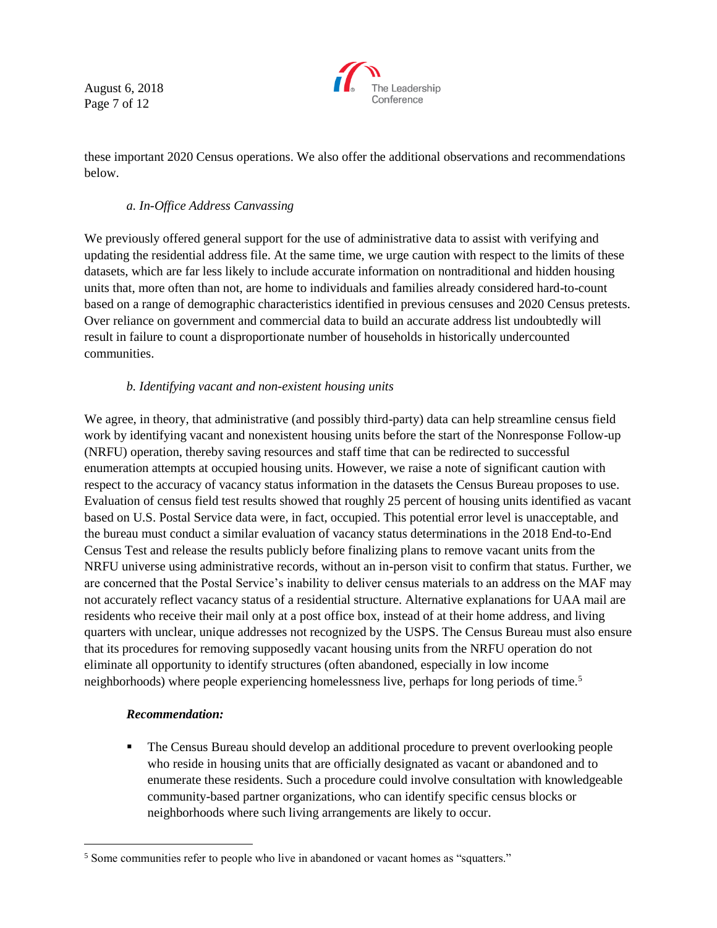August 6, 2018 Page 7 of 12



these important 2020 Census operations. We also offer the additional observations and recommendations below.

# *a. In-Office Address Canvassing*

We previously offered general support for the use of administrative data to assist with verifying and updating the residential address file. At the same time, we urge caution with respect to the limits of these datasets, which are far less likely to include accurate information on nontraditional and hidden housing units that, more often than not, are home to individuals and families already considered hard-to-count based on a range of demographic characteristics identified in previous censuses and 2020 Census pretests. Over reliance on government and commercial data to build an accurate address list undoubtedly will result in failure to count a disproportionate number of households in historically undercounted communities.

### *b. Identifying vacant and non-existent housing units*

We agree, in theory, that administrative (and possibly third-party) data can help streamline census field work by identifying vacant and nonexistent housing units before the start of the Nonresponse Follow-up (NRFU) operation, thereby saving resources and staff time that can be redirected to successful enumeration attempts at occupied housing units. However, we raise a note of significant caution with respect to the accuracy of vacancy status information in the datasets the Census Bureau proposes to use. Evaluation of census field test results showed that roughly 25 percent of housing units identified as vacant based on U.S. Postal Service data were, in fact, occupied. This potential error level is unacceptable, and the bureau must conduct a similar evaluation of vacancy status determinations in the 2018 End-to-End Census Test and release the results publicly before finalizing plans to remove vacant units from the NRFU universe using administrative records, without an in-person visit to confirm that status. Further, we are concerned that the Postal Service's inability to deliver census materials to an address on the MAF may not accurately reflect vacancy status of a residential structure. Alternative explanations for UAA mail are residents who receive their mail only at a post office box, instead of at their home address, and living quarters with unclear, unique addresses not recognized by the USPS. The Census Bureau must also ensure that its procedures for removing supposedly vacant housing units from the NRFU operation do not eliminate all opportunity to identify structures (often abandoned, especially in low income neighborhoods) where people experiencing homelessness live, perhaps for long periods of time.<sup>5</sup>

#### *Recommendation:*

 $\overline{a}$ 

**•** The Census Bureau should develop an additional procedure to prevent overlooking people who reside in housing units that are officially designated as vacant or abandoned and to enumerate these residents. Such a procedure could involve consultation with knowledgeable community-based partner organizations, who can identify specific census blocks or neighborhoods where such living arrangements are likely to occur.

<sup>&</sup>lt;sup>5</sup> Some communities refer to people who live in abandoned or vacant homes as "squatters."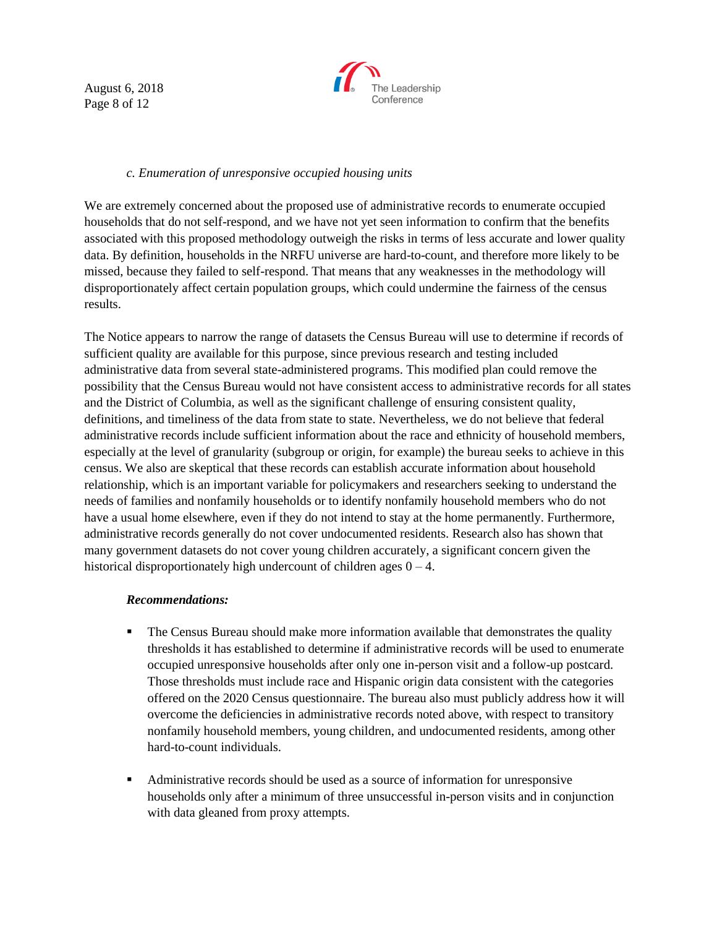August 6, 2018 Page 8 of 12



### *c. Enumeration of unresponsive occupied housing units*

We are extremely concerned about the proposed use of administrative records to enumerate occupied households that do not self-respond, and we have not yet seen information to confirm that the benefits associated with this proposed methodology outweigh the risks in terms of less accurate and lower quality data. By definition, households in the NRFU universe are hard-to-count, and therefore more likely to be missed, because they failed to self-respond. That means that any weaknesses in the methodology will disproportionately affect certain population groups, which could undermine the fairness of the census results.

The Notice appears to narrow the range of datasets the Census Bureau will use to determine if records of sufficient quality are available for this purpose, since previous research and testing included administrative data from several state-administered programs. This modified plan could remove the possibility that the Census Bureau would not have consistent access to administrative records for all states and the District of Columbia, as well as the significant challenge of ensuring consistent quality, definitions, and timeliness of the data from state to state. Nevertheless, we do not believe that federal administrative records include sufficient information about the race and ethnicity of household members, especially at the level of granularity (subgroup or origin, for example) the bureau seeks to achieve in this census. We also are skeptical that these records can establish accurate information about household relationship, which is an important variable for policymakers and researchers seeking to understand the needs of families and nonfamily households or to identify nonfamily household members who do not have a usual home elsewhere, even if they do not intend to stay at the home permanently. Furthermore, administrative records generally do not cover undocumented residents. Research also has shown that many government datasets do not cover young children accurately, a significant concern given the historical disproportionately high undercount of children ages  $0 - 4$ .

#### *Recommendations:*

- **•** The Census Bureau should make more information available that demonstrates the quality thresholds it has established to determine if administrative records will be used to enumerate occupied unresponsive households after only one in-person visit and a follow-up postcard. Those thresholds must include race and Hispanic origin data consistent with the categories offered on the 2020 Census questionnaire. The bureau also must publicly address how it will overcome the deficiencies in administrative records noted above, with respect to transitory nonfamily household members, young children, and undocumented residents, among other hard-to-count individuals.
- Administrative records should be used as a source of information for unresponsive households only after a minimum of three unsuccessful in-person visits and in conjunction with data gleaned from proxy attempts.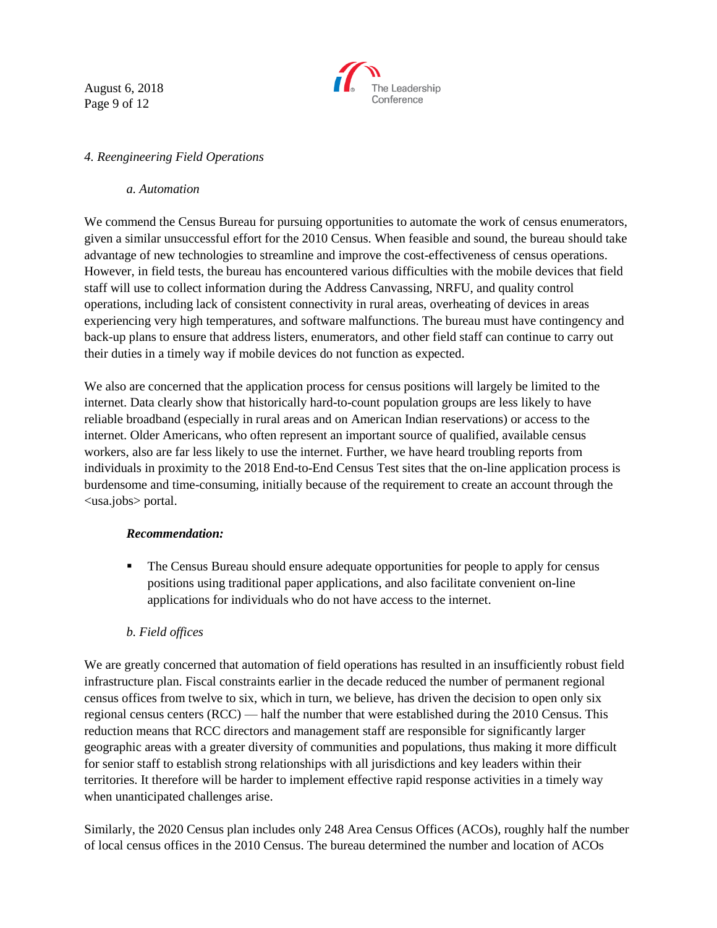August 6, 2018 Page 9 of 12



## *4. Reengineering Field Operations*

#### *a. Automation*

We commend the Census Bureau for pursuing opportunities to automate the work of census enumerators, given a similar unsuccessful effort for the 2010 Census. When feasible and sound, the bureau should take advantage of new technologies to streamline and improve the cost-effectiveness of census operations. However, in field tests, the bureau has encountered various difficulties with the mobile devices that field staff will use to collect information during the Address Canvassing, NRFU, and quality control operations, including lack of consistent connectivity in rural areas, overheating of devices in areas experiencing very high temperatures, and software malfunctions. The bureau must have contingency and back-up plans to ensure that address listers, enumerators, and other field staff can continue to carry out their duties in a timely way if mobile devices do not function as expected.

We also are concerned that the application process for census positions will largely be limited to the internet. Data clearly show that historically hard-to-count population groups are less likely to have reliable broadband (especially in rural areas and on American Indian reservations) or access to the internet. Older Americans, who often represent an important source of qualified, available census workers, also are far less likely to use the internet. Further, we have heard troubling reports from individuals in proximity to the 2018 End-to-End Census Test sites that the on-line application process is burdensome and time-consuming, initially because of the requirement to create an account through the <usa.jobs> portal.

#### *Recommendation:*

**• The Census Bureau should ensure adequate opportunities for people to apply for census** positions using traditional paper applications, and also facilitate convenient on-line applications for individuals who do not have access to the internet.

# *b. Field offices*

We are greatly concerned that automation of field operations has resulted in an insufficiently robust field infrastructure plan. Fiscal constraints earlier in the decade reduced the number of permanent regional census offices from twelve to six, which in turn, we believe, has driven the decision to open only six regional census centers (RCC) — half the number that were established during the 2010 Census. This reduction means that RCC directors and management staff are responsible for significantly larger geographic areas with a greater diversity of communities and populations, thus making it more difficult for senior staff to establish strong relationships with all jurisdictions and key leaders within their territories. It therefore will be harder to implement effective rapid response activities in a timely way when unanticipated challenges arise.

Similarly, the 2020 Census plan includes only 248 Area Census Offices (ACOs), roughly half the number of local census offices in the 2010 Census. The bureau determined the number and location of ACOs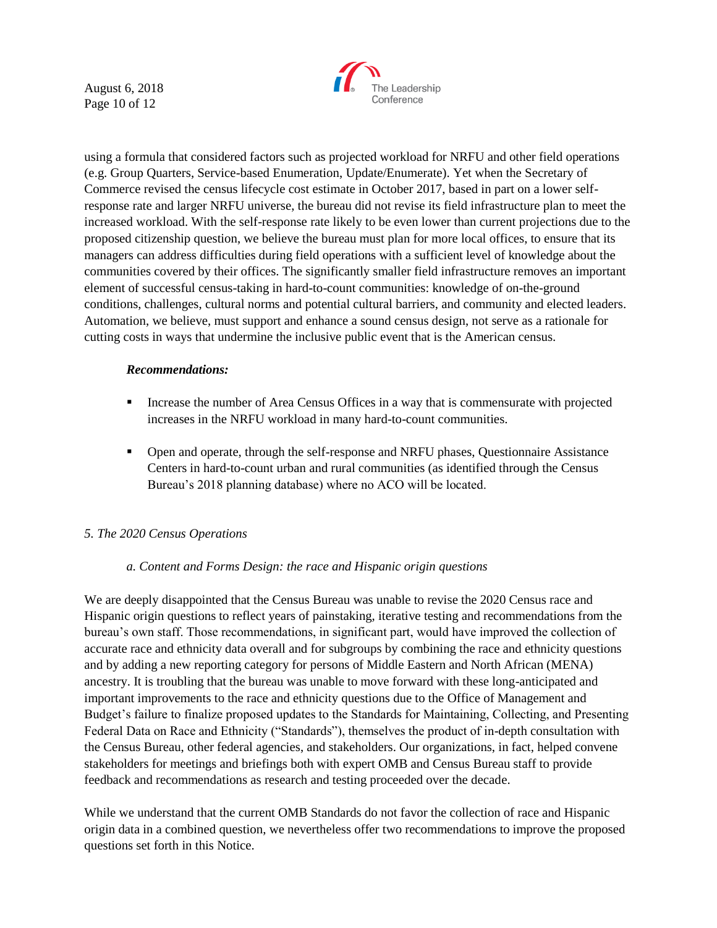August 6, 2018 Page 10 of 12



using a formula that considered factors such as projected workload for NRFU and other field operations (e.g. Group Quarters, Service-based Enumeration, Update/Enumerate). Yet when the Secretary of Commerce revised the census lifecycle cost estimate in October 2017, based in part on a lower selfresponse rate and larger NRFU universe, the bureau did not revise its field infrastructure plan to meet the increased workload. With the self-response rate likely to be even lower than current projections due to the proposed citizenship question, we believe the bureau must plan for more local offices, to ensure that its managers can address difficulties during field operations with a sufficient level of knowledge about the communities covered by their offices. The significantly smaller field infrastructure removes an important element of successful census-taking in hard-to-count communities: knowledge of on-the-ground conditions, challenges, cultural norms and potential cultural barriers, and community and elected leaders. Automation, we believe, must support and enhance a sound census design, not serve as a rationale for cutting costs in ways that undermine the inclusive public event that is the American census.

#### *Recommendations:*

- **•** Increase the number of Area Census Offices in a way that is commensurate with projected increases in the NRFU workload in many hard-to-count communities.
- Open and operate, through the self-response and NRFU phases, Questionnaire Assistance Centers in hard-to-count urban and rural communities (as identified through the Census Bureau's 2018 planning database) where no ACO will be located.

# *5. The 2020 Census Operations*

# *a. Content and Forms Design: the race and Hispanic origin questions*

We are deeply disappointed that the Census Bureau was unable to revise the 2020 Census race and Hispanic origin questions to reflect years of painstaking, iterative testing and recommendations from the bureau's own staff. Those recommendations, in significant part, would have improved the collection of accurate race and ethnicity data overall and for subgroups by combining the race and ethnicity questions and by adding a new reporting category for persons of Middle Eastern and North African (MENA) ancestry. It is troubling that the bureau was unable to move forward with these long-anticipated and important improvements to the race and ethnicity questions due to the Office of Management and Budget's failure to finalize proposed updates to the Standards for Maintaining, Collecting, and Presenting Federal Data on Race and Ethnicity ("Standards"), themselves the product of in-depth consultation with the Census Bureau, other federal agencies, and stakeholders. Our organizations, in fact, helped convene stakeholders for meetings and briefings both with expert OMB and Census Bureau staff to provide feedback and recommendations as research and testing proceeded over the decade.

While we understand that the current OMB Standards do not favor the collection of race and Hispanic origin data in a combined question, we nevertheless offer two recommendations to improve the proposed questions set forth in this Notice.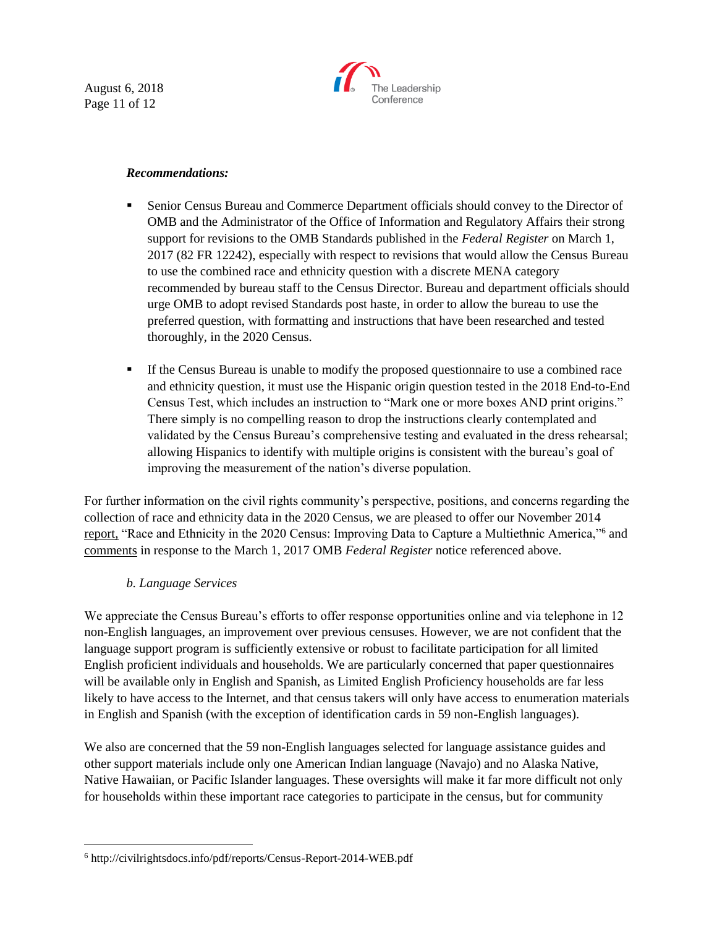August 6, 2018 Page 11 of 12



#### *Recommendations:*

- **Exercise Senior Census Bureau and Commerce Department officials should convey to the Director of** OMB and the Administrator of the Office of Information and Regulatory Affairs their strong support for revisions to the OMB Standards published in the *Federal Register* on March 1, 2017 (82 FR 12242), especially with respect to revisions that would allow the Census Bureau to use the combined race and ethnicity question with a discrete MENA category recommended by bureau staff to the Census Director. Bureau and department officials should urge OMB to adopt revised Standards post haste, in order to allow the bureau to use the preferred question, with formatting and instructions that have been researched and tested thoroughly, in the 2020 Census.
- **If the Census Bureau is unable to modify the proposed questionnaire to use a combined race** and ethnicity question, it must use the Hispanic origin question tested in the 2018 End-to-End Census Test, which includes an instruction to "Mark one or more boxes AND print origins." There simply is no compelling reason to drop the instructions clearly contemplated and validated by the Census Bureau's comprehensive testing and evaluated in the dress rehearsal; allowing Hispanics to identify with multiple origins is consistent with the bureau's goal of improving the measurement of the nation's diverse population.

For further information on the civil rights community's perspective, positions, and concerns regarding the collection of race and ethnicity data in the 2020 Census, we are pleased to offer our November 2014 [report,](http://civilrightsdocs.info/pdf/reports/Census-Report-2014-WEB.pdf) "Race and Ethnicity in the 2020 Census: Improving Data to Capture a Multiethnic America,"<sup>6</sup> and [comments](http://www.civilrightsdocs.info/pdf/policy/letters/2017/Leadership%20Conference%20OMB%20FRN2-RE%20Standards-Comments-04%2028%202017%20final.pdf) in response to the March 1, 2017 OMB *Federal Register* notice referenced above.

#### *b. Language Services*

 $\overline{a}$ 

We appreciate the Census Bureau's efforts to offer response opportunities online and via telephone in 12 non-English languages, an improvement over previous censuses. However, we are not confident that the language support program is sufficiently extensive or robust to facilitate participation for all limited English proficient individuals and households. We are particularly concerned that paper questionnaires will be available only in English and Spanish, as Limited English Proficiency households are far less likely to have access to the Internet, and that census takers will only have access to enumeration materials in English and Spanish (with the exception of identification cards in 59 non-English languages).

We also are concerned that the 59 non-English languages selected for language assistance guides and other support materials include only one American Indian language (Navajo) and no Alaska Native, Native Hawaiian, or Pacific Islander languages. These oversights will make it far more difficult not only for households within these important race categories to participate in the census, but for community

<sup>6</sup> http://civilrightsdocs.info/pdf/reports/Census-Report-2014-WEB.pdf